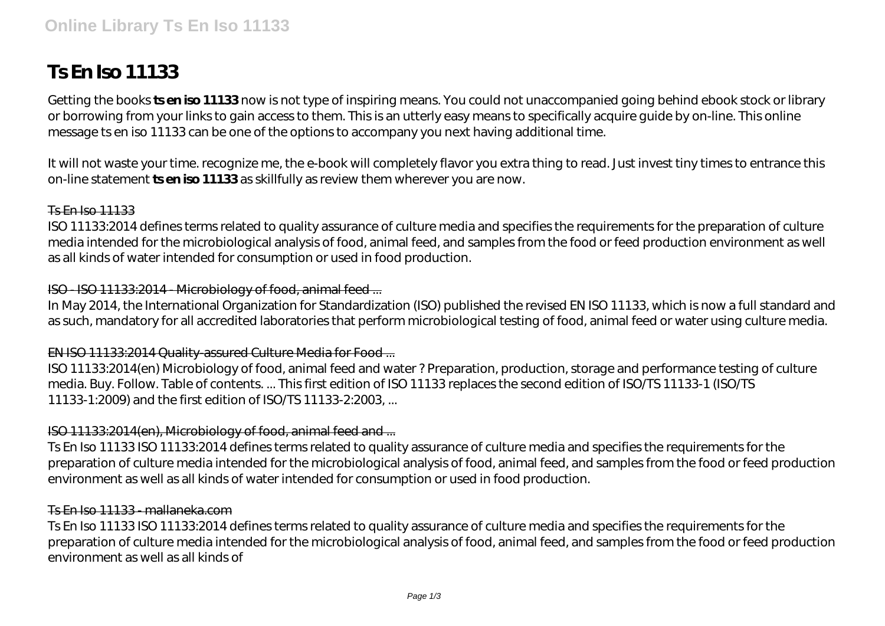# **Ts En Iso 11133**

Getting the books **ts en iso 11133** now is not type of inspiring means. You could not unaccompanied going behind ebook stock or library or borrowing from your links to gain access to them. This is an utterly easy means to specifically acquire guide by on-line. This online message ts en iso 11133 can be one of the options to accompany you next having additional time.

It will not waste your time. recognize me, the e-book will completely flavor you extra thing to read. Just invest tiny times to entrance this on-line statement **ts en iso 11133** as skillfully as review them wherever you are now.

#### Ts En Iso 11133

ISO 11133:2014 defines terms related to quality assurance of culture media and specifies the requirements for the preparation of culture media intended for the microbiological analysis of food, animal feed, and samples from the food or feed production environment as well as all kinds of water intended for consumption or used in food production.

#### ISO - ISO 11133:2014 - Microbiology of food, animal feed ...

In May 2014, the International Organization for Standardization (ISO) published the revised EN ISO 11133, which is now a full standard and as such, mandatory for all accredited laboratories that perform microbiological testing of food, animal feed or water using culture media.

#### EN ISO 11133:2014 Quality-assured Culture Media for Food ...

ISO 11133:2014(en) Microbiology of food, animal feed and water ? Preparation, production, storage and performance testing of culture media. Buy. Follow. Table of contents. ... This first edition of ISO 11133 replaces the second edition of ISO/TS 11133-1 (ISO/TS 11133-1:2009) and the first edition of ISO/TS 11133-2:2003, ...

### ISO 11133:2014(en), Microbiology of food, animal feed and ...

Ts En Iso 11133 ISO 11133:2014 defines terms related to quality assurance of culture media and specifies the requirements for the preparation of culture media intended for the microbiological analysis of food, animal feed, and samples from the food or feed production environment as well as all kinds of water intended for consumption or used in food production.

#### Ts En Iso 11133 - mallaneka.com

Ts En Iso 11133 ISO 11133:2014 defines terms related to quality assurance of culture media and specifies the requirements for the preparation of culture media intended for the microbiological analysis of food, animal feed, and samples from the food or feed production environment as well as all kinds of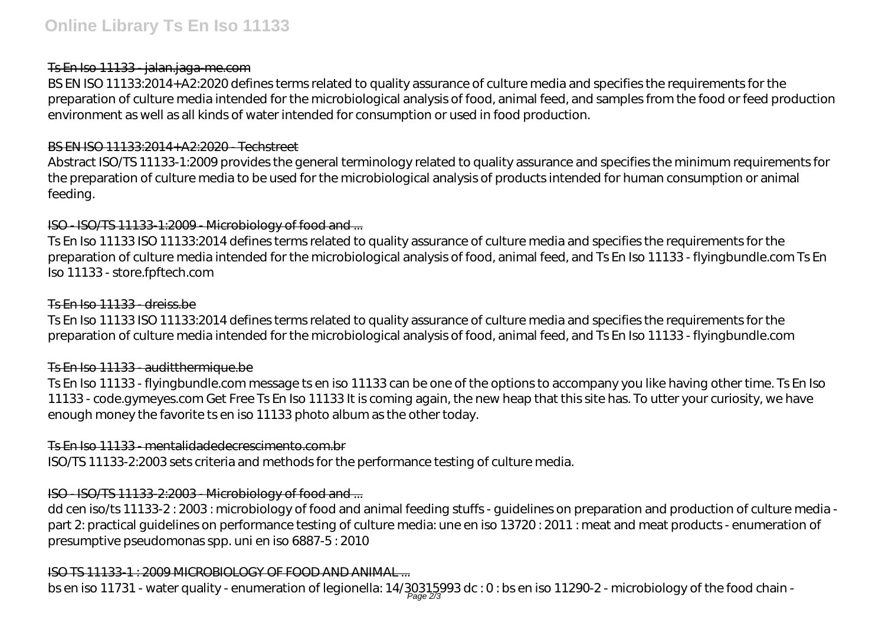## Ts En Iso 11133 - jalan.jaga-me.com

BS EN ISO 11133:2014+A2:2020 defines terms related to quality assurance of culture media and specifies the requirements for the preparation of culture media intended for the microbiological analysis of food, animal feed, and samples from the food or feed production environment as well as all kinds of water intended for consumption or used in food production.

## BS EN ISO 11133:2014+A2:2020 - Techstreet

Abstract ISO/TS 11133-1:2009 provides the general terminology related to quality assurance and specifies the minimum requirements for the preparation of culture media to be used for the microbiological analysis of products intended for human consumption or animal feeding.

# ISO - ISO/TS 11133-1:2009 - Microbiology of food and ...

Ts En Iso 11133 ISO 11133:2014 defines terms related to quality assurance of culture media and specifies the requirements for the preparation of culture media intended for the microbiological analysis of food, animal feed, and Ts En Iso 11133 - flyingbundle.com Ts En Iso 11133 - store.fpftech.com

## Ts En Iso 11133 - dreiss.be

Ts En Iso 11133 ISO 11133:2014 defines terms related to quality assurance of culture media and specifies the requirements for the preparation of culture media intended for the microbiological analysis of food, animal feed, and Ts En Iso 11133 - flyingbundle.com

## Ts En Iso 11133 - auditthermique.be

Ts En Iso 11133 - flyingbundle.com message ts en iso 11133 can be one of the options to accompany you like having other time. Ts En Iso 11133 - code.gymeyes.com Get Free Ts En Iso 11133 It is coming again, the new heap that this site has. To utter your curiosity, we have enough money the favorite ts en iso 11133 photo album as the other today.

## Ts En Iso 11133 - mentalidadedecrescimento.com.br

ISO/TS 11133-2:2003 sets criteria and methods for the performance testing of culture media.

# ISO - ISO/TS 11133-2:2003 - Microbiology of food and ...

dd cen iso/ts 11133-2 : 2003 : microbiology of food and animal feeding stuffs - guidelines on preparation and production of culture media part 2: practical guidelines on performance testing of culture media: une en iso 13720 : 2011 : meat and meat products - enumeration of presumptive pseudomonas spp. uni en iso 6887-5 : 2010

# ISO TS 11133-1 : 2009 MICROBIOLOGY OF FOOD AND ANIMAL ...

bs en iso 11731 - water quality - enumeration of legionella: 14/30315993 dc : 0: bs en iso 11290-2 - microbiology of the food chain -